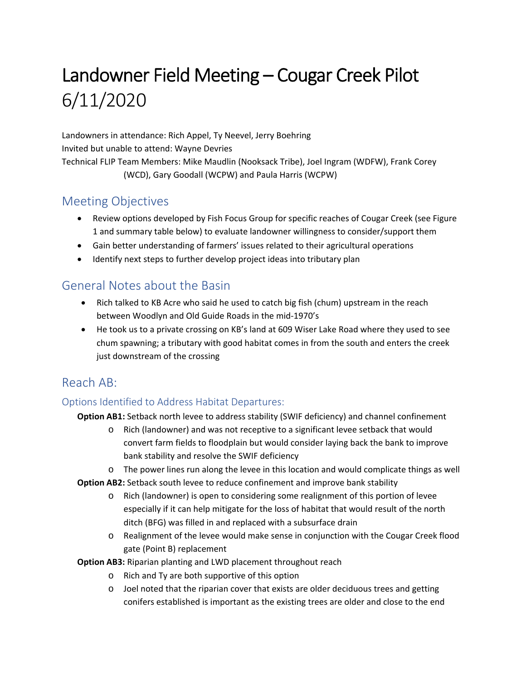# Landowner Field Meeting – Cougar Creek Pilot 6/11/2020

Landowners in attendance: Rich Appel, Ty Neevel, Jerry Boehring Invited but unable to attend: Wayne Devries Technical FLIP Team Members: Mike Maudlin (Nooksack Tribe), Joel Ingram (WDFW), Frank Corey (WCD), Gary Goodall (WCPW) and Paula Harris (WCPW)

# Meeting Objectives

- Review options developed by Fish Focus Group for specific reaches of Cougar Creek (see Figure 1 and summary table below) to evaluate landowner willingness to consider/support them
- Gain better understanding of farmers' issues related to their agricultural operations
- Identify next steps to further develop project ideas into tributary plan

## General Notes about the Basin

- Rich talked to KB Acre who said he used to catch big fish (chum) upstream in the reach between Woodlyn and Old Guide Roads in the mid‐1970's
- He took us to a private crossing on KB's land at 609 Wiser Lake Road where they used to see chum spawning; a tributary with good habitat comes in from the south and enters the creek just downstream of the crossing

# Reach AB:

#### Options Identified to Address Habitat Departures:

**Option AB1:** Setback north levee to address stability (SWIF deficiency) and channel confinement

- o Rich (landowner) and was not receptive to a significant levee setback that would convert farm fields to floodplain but would consider laying back the bank to improve bank stability and resolve the SWIF deficiency
- o The power lines run along the levee in this location and would complicate things as well
- **Option AB2:** Setback south levee to reduce confinement and improve bank stability
	- o Rich (landowner) is open to considering some realignment of this portion of levee especially if it can help mitigate for the loss of habitat that would result of the north ditch (BFG) was filled in and replaced with a subsurface drain
	- o Realignment of the levee would make sense in conjunction with the Cougar Creek flood gate (Point B) replacement

**Option AB3:** Riparian planting and LWD placement throughout reach

- o Rich and Ty are both supportive of this option
- o Joel noted that the riparian cover that exists are older deciduous trees and getting conifers established is important as the existing trees are older and close to the end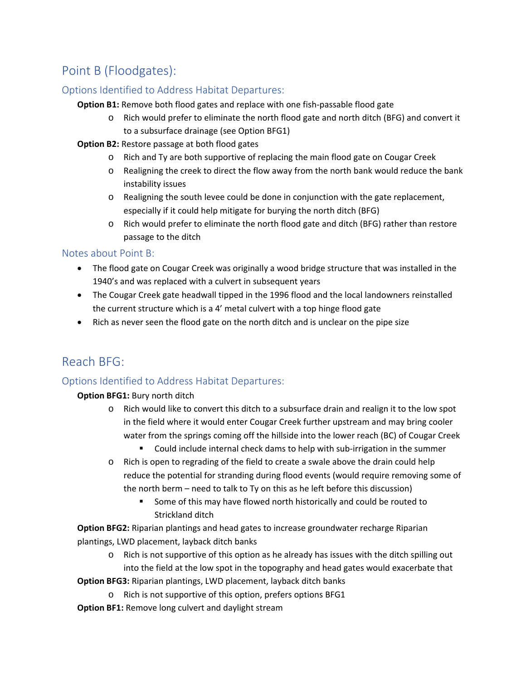# Point B (Floodgates):

#### Options Identified to Address Habitat Departures:

**Option B1:** Remove both flood gates and replace with one fish‐passable flood gate

- o Rich would prefer to eliminate the north flood gate and north ditch (BFG) and convert it to a subsurface drainage (see Option BFG1)
- **Option B2:** Restore passage at both flood gates
	- o Rich and Ty are both supportive of replacing the main flood gate on Cougar Creek
	- o Realigning the creek to direct the flow away from the north bank would reduce the bank instability issues
	- o Realigning the south levee could be done in conjunction with the gate replacement, especially if it could help mitigate for burying the north ditch (BFG)
	- o Rich would prefer to eliminate the north flood gate and ditch (BFG) rather than restore passage to the ditch

#### Notes about Point B:

- The flood gate on Cougar Creek was originally a wood bridge structure that was installed in the 1940's and was replaced with a culvert in subsequent years
- The Cougar Creek gate headwall tipped in the 1996 flood and the local landowners reinstalled the current structure which is a 4' metal culvert with a top hinge flood gate
- Rich as never seen the flood gate on the north ditch and is unclear on the pipe size

# Reach BFG:

#### Options Identified to Address Habitat Departures:

#### **Option BFG1:** Bury north ditch

- o Rich would like to convert this ditch to a subsurface drain and realign it to the low spot in the field where it would enter Cougar Creek further upstream and may bring cooler water from the springs coming off the hillside into the lower reach (BC) of Cougar Creek
	- Could include internal check dams to help with sub-irrigation in the summer
- o Rich is open to regrading of the field to create a swale above the drain could help reduce the potential for stranding during flood events (would require removing some of the north berm – need to talk to Ty on this as he left before this discussion)
	- Some of this may have flowed north historically and could be routed to Strickland ditch

**Option BFG2:** Riparian plantings and head gates to increase groundwater recharge Riparian plantings, LWD placement, layback ditch banks

o Rich is not supportive of this option as he already has issues with the ditch spilling out into the field at the low spot in the topography and head gates would exacerbate that

**Option BFG3:** Riparian plantings, LWD placement, layback ditch banks

- o Rich is not supportive of this option, prefers options BFG1
- **Option BF1:** Remove long culvert and daylight stream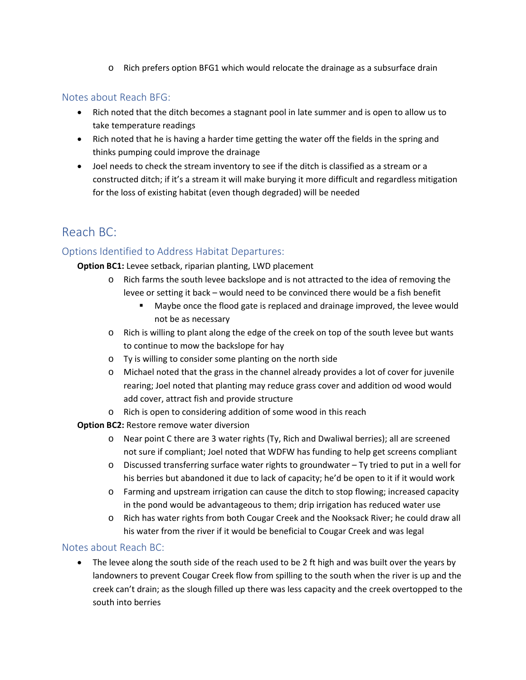o Rich prefers option BFG1 which would relocate the drainage as a subsurface drain

#### Notes about Reach BFG:

- Rich noted that the ditch becomes a stagnant pool in late summer and is open to allow us to take temperature readings
- Rich noted that he is having a harder time getting the water off the fields in the spring and thinks pumping could improve the drainage
- Joel needs to check the stream inventory to see if the ditch is classified as a stream or a constructed ditch; if it's a stream it will make burying it more difficult and regardless mitigation for the loss of existing habitat (even though degraded) will be needed

# Reach BC:

#### Options Identified to Address Habitat Departures:

**Option BC1:** Levee setback, riparian planting, LWD placement

- o Rich farms the south levee backslope and is not attracted to the idea of removing the levee or setting it back – would need to be convinced there would be a fish benefit
	- **Maybe once the flood gate is replaced and drainage improved, the levee would** not be as necessary
- o Rich is willing to plant along the edge of the creek on top of the south levee but wants to continue to mow the backslope for hay
- o Ty is willing to consider some planting on the north side
- o Michael noted that the grass in the channel already provides a lot of cover for juvenile rearing; Joel noted that planting may reduce grass cover and addition od wood would add cover, attract fish and provide structure
- o Rich is open to considering addition of some wood in this reach

**Option BC2:** Restore remove water diversion

- o Near point C there are 3 water rights (Ty, Rich and Dwaliwal berries); all are screened not sure if compliant; Joel noted that WDFW has funding to help get screens compliant
- o Discussed transferring surface water rights to groundwater Ty tried to put in a well for his berries but abandoned it due to lack of capacity; he'd be open to it if it would work
- o Farming and upstream irrigation can cause the ditch to stop flowing; increased capacity in the pond would be advantageous to them; drip irrigation has reduced water use
- o Rich has water rights from both Cougar Creek and the Nooksack River; he could draw all his water from the river if it would be beneficial to Cougar Creek and was legal

#### Notes about Reach BC:

• The levee along the south side of the reach used to be 2 ft high and was built over the years by landowners to prevent Cougar Creek flow from spilling to the south when the river is up and the creek can't drain; as the slough filled up there was less capacity and the creek overtopped to the south into berries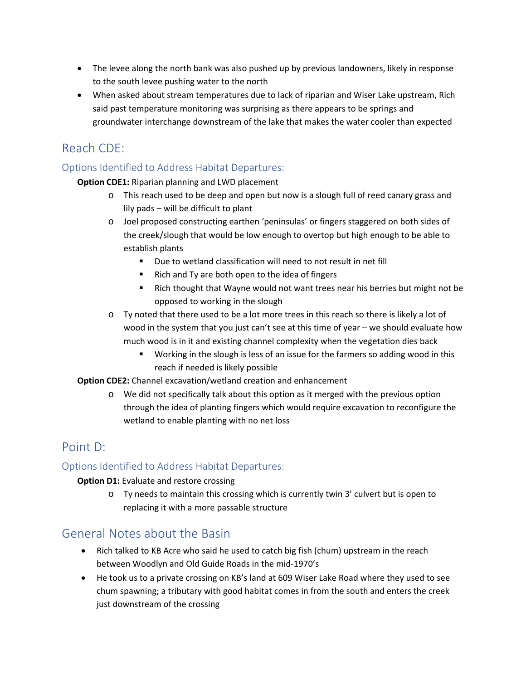- The levee along the north bank was also pushed up by previous landowners, likely in response to the south levee pushing water to the north
- When asked about stream temperatures due to lack of riparian and Wiser Lake upstream, Rich said past temperature monitoring was surprising as there appears to be springs and groundwater interchange downstream of the lake that makes the water cooler than expected

# Reach CDE:

#### Options Identified to Address Habitat Departures:

#### **Option CDE1:** Riparian planning and LWD placement

- o This reach used to be deep and open but now is a slough full of reed canary grass and lily pads – will be difficult to plant
- o Joel proposed constructing earthen 'peninsulas' or fingers staggered on both sides of the creek/slough that would be low enough to overtop but high enough to be able to establish plants
	- Due to wetland classification will need to not result in net fill
	- Rich and Ty are both open to the idea of fingers
	- Rich thought that Wayne would not want trees near his berries but might not be opposed to working in the slough
- o Ty noted that there used to be a lot more trees in this reach so there is likely a lot of wood in the system that you just can't see at this time of year – we should evaluate how much wood is in it and existing channel complexity when the vegetation dies back
	- **Working in the slough is less of an issue for the farmers so adding wood in this** reach if needed is likely possible

#### **Option CDE2:** Channel excavation/wetland creation and enhancement

o We did not specifically talk about this option as it merged with the previous option through the idea of planting fingers which would require excavation to reconfigure the wetland to enable planting with no net loss

# Point D:

#### Options Identified to Address Habitat Departures:

#### **Option D1:** Evaluate and restore crossing

o Ty needs to maintain this crossing which is currently twin 3' culvert but is open to replacing it with a more passable structure

# General Notes about the Basin

- Rich talked to KB Acre who said he used to catch big fish (chum) upstream in the reach between Woodlyn and Old Guide Roads in the mid‐1970's
- He took us to a private crossing on KB's land at 609 Wiser Lake Road where they used to see chum spawning; a tributary with good habitat comes in from the south and enters the creek just downstream of the crossing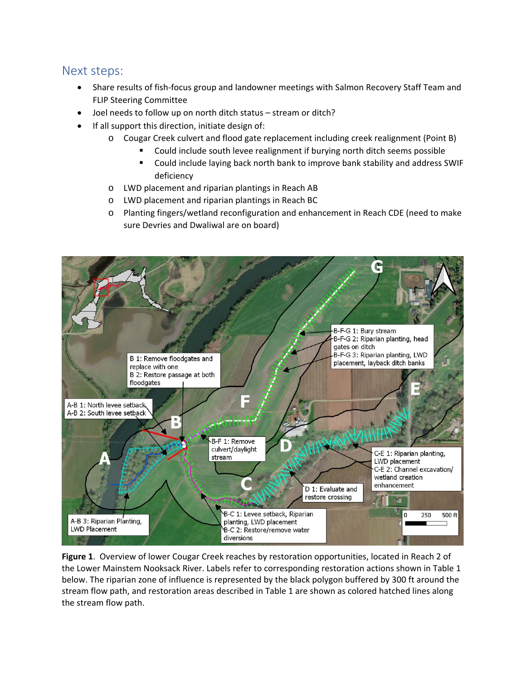## Next steps:

- Share results of fish‐focus group and landowner meetings with Salmon Recovery Staff Team and FLIP Steering Committee
- Joel needs to follow up on north ditch status stream or ditch?
- If all support this direction, initiate design of:
	- o Cougar Creek culvert and flood gate replacement including creek realignment (Point B)
		- Could include south levee realignment if burying north ditch seems possible
		- Could include laying back north bank to improve bank stability and address SWIF deficiency
	- o LWD placement and riparian plantings in Reach AB
	- o LWD placement and riparian plantings in Reach BC
	- o Planting fingers/wetland reconfiguration and enhancement in Reach CDE (need to make sure Devries and Dwaliwal are on board)



**Figure 1**. Overview of lower Cougar Creek reaches by restoration opportunities, located in Reach 2 of the Lower Mainstem Nooksack River. Labels refer to corresponding restoration actions shown in Table 1 below. The riparian zone of influence is represented by the black polygon buffered by 300 ft around the stream flow path, and restoration areas described in Table 1 are shown as colored hatched lines along the stream flow path.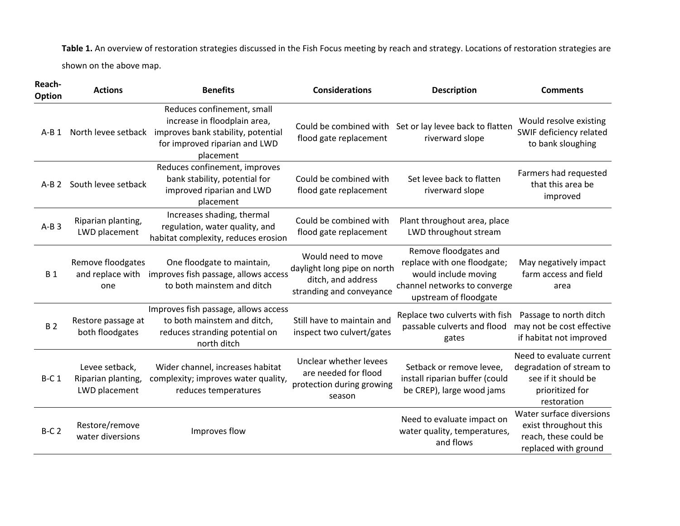**Table 1.** An overview of restoration strategies discussed in the Fish Focus meeting by reach and strategy. Locations of restoration strategies are shown on the above map.

| Reach-<br><b>Option</b> | <b>Actions</b>                                        | <b>Benefits</b>                                                                                                                                | <b>Considerations</b>                                                                               | <b>Description</b>                                                                                                                    | <b>Comments</b>                                                                                               |
|-------------------------|-------------------------------------------------------|------------------------------------------------------------------------------------------------------------------------------------------------|-----------------------------------------------------------------------------------------------------|---------------------------------------------------------------------------------------------------------------------------------------|---------------------------------------------------------------------------------------------------------------|
| $A-B1$                  | North levee setback                                   | Reduces confinement, small<br>increase in floodplain area,<br>improves bank stability, potential<br>for improved riparian and LWD<br>placement | flood gate replacement                                                                              | Could be combined with Set or lay levee back to flatten<br>riverward slope                                                            | Would resolve existing<br>SWIF deficiency related<br>to bank sloughing                                        |
| $A-B2$                  | South levee setback                                   | Reduces confinement, improves<br>bank stability, potential for<br>improved riparian and LWD<br>placement                                       | Could be combined with<br>flood gate replacement                                                    | Set levee back to flatten<br>riverward slope                                                                                          | Farmers had requested<br>that this area be<br>improved                                                        |
| $A-B3$                  | Riparian planting,<br>LWD placement                   | Increases shading, thermal<br>regulation, water quality, and<br>habitat complexity, reduces erosion                                            | Could be combined with<br>flood gate replacement                                                    | Plant throughout area, place<br>LWD throughout stream                                                                                 |                                                                                                               |
| <b>B1</b>               | Remove floodgates<br>and replace with<br>one          | One floodgate to maintain,<br>improves fish passage, allows access<br>to both mainstem and ditch                                               | Would need to move<br>daylight long pipe on north<br>ditch, and address<br>stranding and conveyance | Remove floodgates and<br>replace with one floodgate;<br>would include moving<br>channel networks to converge<br>upstream of floodgate | May negatively impact<br>farm access and field<br>area                                                        |
| <b>B2</b>               | Restore passage at<br>both floodgates                 | Improves fish passage, allows access<br>to both mainstem and ditch,<br>reduces stranding potential on<br>north ditch                           | Still have to maintain and<br>inspect two culvert/gates                                             | Replace two culverts with fish<br>passable culverts and flood<br>gates                                                                | Passage to north ditch<br>may not be cost effective<br>if habitat not improved                                |
| <b>B-C1</b>             | Levee setback,<br>Riparian planting,<br>LWD placement | Wider channel, increases habitat<br>complexity; improves water quality,<br>reduces temperatures                                                | Unclear whether levees<br>are needed for flood<br>protection during growing<br>season               | Setback or remove levee,<br>install riparian buffer (could<br>be CREP), large wood jams                                               | Need to evaluate current<br>degradation of stream to<br>see if it should be<br>prioritized for<br>restoration |
| $B-C2$                  | Restore/remove<br>water diversions                    | Improves flow                                                                                                                                  |                                                                                                     | Need to evaluate impact on<br>water quality, temperatures,<br>and flows                                                               | Water surface diversions<br>exist throughout this<br>reach, these could be<br>replaced with ground            |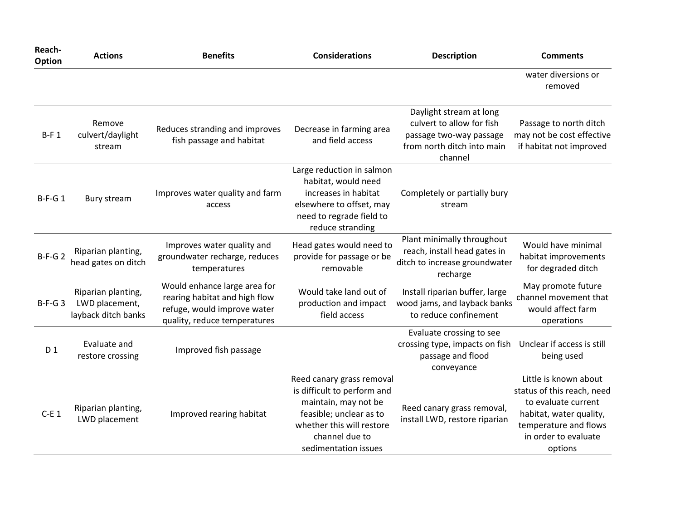| Reach-<br>Option | <b>Actions</b>                                              | <b>Benefits</b>                                                                                                              | <b>Considerations</b>                                                                                                                                                              | <b>Description</b>                                                                                                       | <b>Comments</b>                                                                                                                                                   |
|------------------|-------------------------------------------------------------|------------------------------------------------------------------------------------------------------------------------------|------------------------------------------------------------------------------------------------------------------------------------------------------------------------------------|--------------------------------------------------------------------------------------------------------------------------|-------------------------------------------------------------------------------------------------------------------------------------------------------------------|
|                  |                                                             |                                                                                                                              |                                                                                                                                                                                    |                                                                                                                          | water diversions or<br>removed                                                                                                                                    |
| $B-F1$           | Remove<br>culvert/daylight<br>stream                        | Reduces stranding and improves<br>fish passage and habitat                                                                   | Decrease in farming area<br>and field access                                                                                                                                       | Daylight stream at long<br>culvert to allow for fish<br>passage two-way passage<br>from north ditch into main<br>channel | Passage to north ditch<br>may not be cost effective<br>if habitat not improved                                                                                    |
| $B-F-G1$         | Bury stream                                                 | Improves water quality and farm<br>access                                                                                    | Large reduction in salmon<br>habitat, would need<br>increases in habitat<br>elsewhere to offset, may<br>need to regrade field to<br>reduce stranding                               | Completely or partially bury<br>stream                                                                                   |                                                                                                                                                                   |
| $B-F-G2$         | Riparian planting,<br>head gates on ditch                   | Improves water quality and<br>groundwater recharge, reduces<br>temperatures                                                  | Head gates would need to<br>provide for passage or be<br>removable                                                                                                                 | Plant minimally throughout<br>reach, install head gates in<br>ditch to increase groundwater<br>recharge                  | Would have minimal<br>habitat improvements<br>for degraded ditch                                                                                                  |
| $B-F-G3$         | Riparian planting,<br>LWD placement,<br>layback ditch banks | Would enhance large area for<br>rearing habitat and high flow<br>refuge, would improve water<br>quality, reduce temperatures | Would take land out of<br>production and impact<br>field access                                                                                                                    | Install riparian buffer, large<br>wood jams, and layback banks<br>to reduce confinement                                  | May promote future<br>channel movement that<br>would affect farm<br>operations                                                                                    |
| D 1              | Evaluate and<br>restore crossing                            | Improved fish passage                                                                                                        |                                                                                                                                                                                    | Evaluate crossing to see<br>crossing type, impacts on fish<br>passage and flood<br>conveyance                            | Unclear if access is still<br>being used                                                                                                                          |
| $C-E1$           | Riparian planting,<br>LWD placement                         | Improved rearing habitat                                                                                                     | Reed canary grass removal<br>is difficult to perform and<br>maintain, may not be<br>feasible; unclear as to<br>whether this will restore<br>channel due to<br>sedimentation issues | Reed canary grass removal,<br>install LWD, restore riparian                                                              | Little is known about<br>status of this reach, need<br>to evaluate current<br>habitat, water quality,<br>temperature and flows<br>in order to evaluate<br>options |